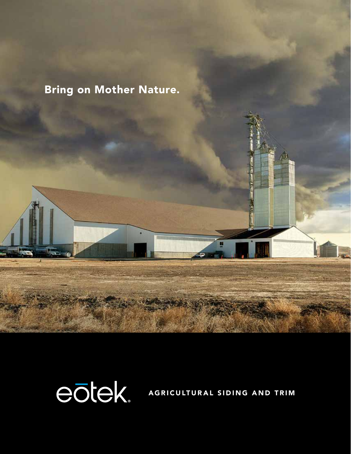## Bring on Mother Nature.

eōtek

AGRICULTURAL SIDING AND TRIM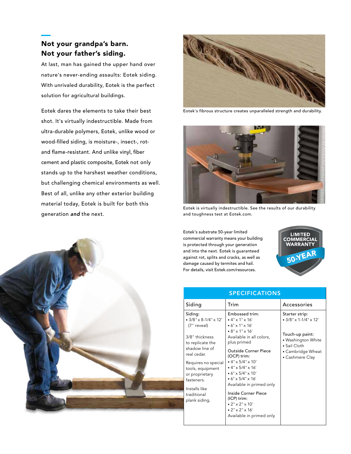### Not your grandpa's barn. Not your father's siding.

At last, man has gained the upper hand over nature's never-ending assaults: Eotek siding. With unrivaled durability, Eotek is the perfect solution for agricultural buildings.

Eotek dares the elements to take their best shot. It's virtually indestructible. Made from ultra-durable polymers, Eotek, unlike wood or wood-filled siding, is moisture-, insect-, rotand flame-resistant. And unlike vinyl, fiber cement and plastic composite, Eotek not only stands up to the harshest weather conditions, but challenging chemical environments as well. Best of all, unlike any other exterior building material today, Eotek is built for both this generation *and* the next.



Eotek's fibrous structure creates unparalleled strength and durability.



Eotek is virtually indestructible. See the results of our durability and toughness test at Eotek.com.

Eotek's substrate 50-year limited commercial warranty means your building is protected through your generation and into the next. Eotek is guaranteed against rot, splits and cracks, as well as damage caused by termites and hail. For details, visit Eotek.com/resources.



| <b>SPECIFICATIONS</b>                                                                                                                                                                                                                                      |                                                                                                                                                                                                                                                                                                                                                                                                                                                                 |                                                                                                                                                |
|------------------------------------------------------------------------------------------------------------------------------------------------------------------------------------------------------------------------------------------------------------|-----------------------------------------------------------------------------------------------------------------------------------------------------------------------------------------------------------------------------------------------------------------------------------------------------------------------------------------------------------------------------------------------------------------------------------------------------------------|------------------------------------------------------------------------------------------------------------------------------------------------|
| Siding                                                                                                                                                                                                                                                     | Trim                                                                                                                                                                                                                                                                                                                                                                                                                                                            | Accessories                                                                                                                                    |
| Siding:<br>$\bullet$ 3/8" x 8-1/4" x 12"<br>(7" reveal)<br>3/8" thickness<br>to replicate the<br>shadow line of<br>real cedar.<br>Requires no special<br>tools, equipment<br>or proprietary<br>fasteners.<br>Installs like<br>traditional<br>plank siding. | Embossed trim:<br>$\cdot$ 4" x 1" x 16"<br>$\cdot$ 6" x 1" x 16"<br>$\cdot 8" \times 1" \times 16'$<br>Available in all colors,<br>plus primed<br>Outside Corner Piece<br>(OCP) trim:<br>$\cdot$ 4" x 5/4" x 10"<br>$\cdot$ 4" x 5/4" x 16"<br>$\cdot$ 6" x 5/4" x 10"<br>$\cdot$ 6" x 5/4" x 16'<br>Available in primed only<br>Inside Corner Piece<br>(ICP) trim:<br>$\cdot$ 2" $\times$ 2" $\times$ 10"<br>$\cdot$ 2" x 2" x 16"<br>Available in primed only | Starter strip:<br>$\cdot$ 3/8" x 1-1/4" x 12"<br>Touch-up paint:<br>• Washington White<br>• Sail Cloth<br>• Cambridge Wheat<br>• Cashmere Clay |

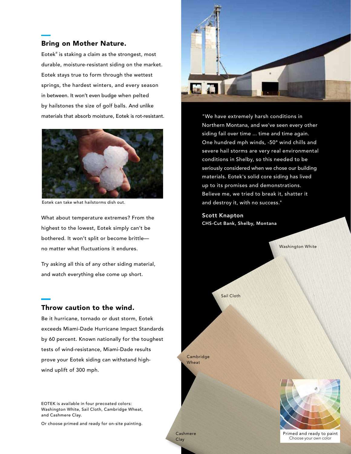#### Bring on Mother Nature.

Eotek® is staking a claim as the strongest, most durable, moisture-resistant siding on the market. Eotek stays true to form through the wettest springs, the hardest winters, and every season in between. It won't even budge when pelted by hailstones the size of golf balls. And unlike materials that absorb moisture, Eotek is rot-resistant.



Eotek can take what hailstorms dish out.

What about temperature extremes? From the highest to the lowest, Eotek simply can't be bothered. It won't split or become brittle no matter what fluctuations it endures.

Try asking all this of any other siding material, and watch everything else come up short.

#### Throw caution to the wind.

Be it hurricane, tornado or dust storm, Eotek exceeds Miami-Dade Hurricane Impact Standards by 60 percent. Known nationally for the toughest tests of wind-resistance, Miami-Dade results prove your Eotek siding can withstand highwind uplift of 300 mph.

EOTEK is available in four precoated colors: Washington White, Sail Cloth, Cambridge Wheat, and Cashmere Clay.

Or choose primed and ready for on-site painting.



"We have extremely harsh conditions in Northern Montana, and we've seen every other siding fail over time ... time and time again. One hundred mph winds, -50° wind chills and severe hail storms are very real environmental conditions in Shelby, so this needed to be seriously considered when we chose our building materials. Eotek's solid core siding has lived up to its promises and demonstrations. Believe me, we tried to break it, shatter it and destroy it, with no success."

Scott Knapton CHS-Cut Bank, Shelby, Montana



Primed and ready to paint Choose your own color